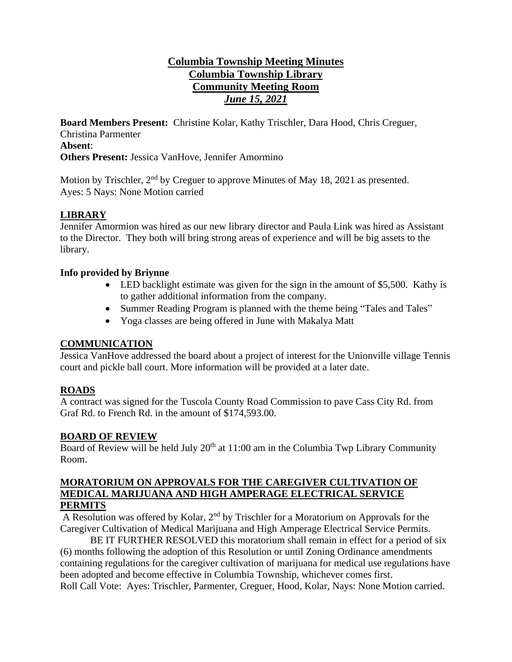# **Columbia Township Meeting Minutes Columbia Township Library Community Meeting Room** *June 15, 2021*

**Board Members Present:** Christine Kolar, Kathy Trischler, Dara Hood, Chris Creguer, Christina Parmenter **Absent**: **Others Present:** Jessica VanHove, Jennifer Amormino

Motion by Trischler,  $2<sup>nd</sup>$  by Creguer to approve Minutes of May 18, 2021 as presented. Ayes: 5 Nays: None Motion carried

### **LIBRARY**

Jennifer Amormion was hired as our new library director and Paula Link was hired as Assistant to the Director. They both will bring strong areas of experience and will be big assets to the library.

### **Info provided by Briynne**

- LED backlight estimate was given for the sign in the amount of \$5,500. Kathy is to gather additional information from the company.
- Summer Reading Program is planned with the theme being "Tales and Tales"
- Yoga classes are being offered in June with Makalya Matt

### **COMMUNICATION**

Jessica VanHove addressed the board about a project of interest for the Unionville village Tennis court and pickle ball court. More information will be provided at a later date.

# **ROADS**

A contract was signed for the Tuscola County Road Commission to pave Cass City Rd. from Graf Rd. to French Rd. in the amount of \$174,593.00.

### **BOARD OF REVIEW**

Board of Review will be held July  $20<sup>th</sup>$  at 11:00 am in the Columbia Twp Library Community Room.

#### **MORATORIUM ON APPROVALS FOR THE CAREGIVER CULTIVATION OF MEDICAL MARIJUANA AND HIGH AMPERAGE ELECTRICAL SERVICE PERMITS**

A Resolution was offered by Kolar, 2<sup>nd</sup> by Trischler for a Moratorium on Approvals for the Caregiver Cultivation of Medical Marijuana and High Amperage Electrical Service Permits.

BE IT FURTHER RESOLVED this moratorium shall remain in effect for a period of six (6) months following the adoption of this Resolution or until Zoning Ordinance amendments containing regulations for the caregiver cultivation of marijuana for medical use regulations have been adopted and become effective in Columbia Township, whichever comes first. Roll Call Vote: Ayes: Trischler, Parmenter, Creguer, Hood, Kolar, Nays: None Motion carried.